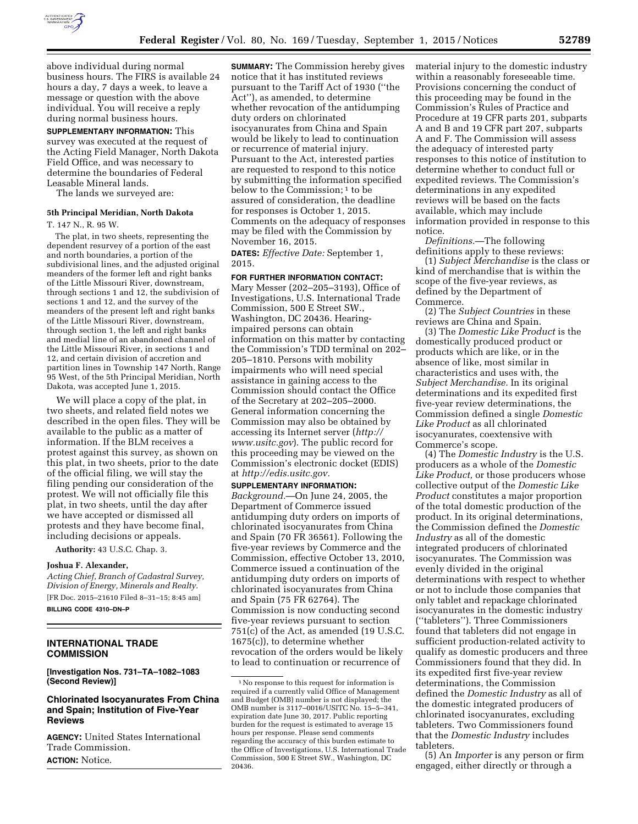

**SUPPLEMENTARY INFORMATION:** This survey was executed at the request of the Acting Field Manager, North Dakota Field Office, and was necessary to determine the boundaries of Federal Leasable Mineral lands.

The lands we surveyed are:

# **5th Principal Meridian, North Dakota**

T. 147 N., R. 95 W.

The plat, in two sheets, representing the dependent resurvey of a portion of the east and north boundaries, a portion of the subdivisional lines, and the adjusted original meanders of the former left and right banks of the Little Missouri River, downstream, through sections 1 and 12, the subdivision of sections 1 and 12, and the survey of the meanders of the present left and right banks of the Little Missouri River, downstream, through section 1, the left and right banks and medial line of an abandoned channel of the Little Missouri River, in sections 1 and 12, and certain division of accretion and partition lines in Township 147 North, Range 95 West, of the 5th Principal Meridian, North Dakota, was accepted June 1, 2015.

We will place a copy of the plat, in two sheets, and related field notes we described in the open files. They will be available to the public as a matter of information. If the BLM receives a protest against this survey, as shown on this plat, in two sheets, prior to the date of the official filing, we will stay the filing pending our consideration of the protest. We will not officially file this plat, in two sheets, until the day after we have accepted or dismissed all protests and they have become final, including decisions or appeals.

**Authority:** 43 U.S.C. Chap. 3.

## **Joshua F. Alexander,**

*Acting Chief, Branch of Cadastral Survey, Division of Energy, Minerals and Realty.*  [FR Doc. 2015–21610 Filed 8–31–15; 8:45 am] **BILLING CODE 4310–DN–P** 

**INTERNATIONAL TRADE COMMISSION** 

**[Investigation Nos. 731–TA–1082–1083 (Second Review)]** 

### **Chlorinated Isocyanurates From China and Spain; Institution of Five-Year Reviews**

**AGENCY:** United States International Trade Commission. **ACTION:** Notice.

**SUMMARY:** The Commission hereby gives notice that it has instituted reviews pursuant to the Tariff Act of 1930 (''the Act''), as amended, to determine whether revocation of the antidumping duty orders on chlorinated isocyanurates from China and Spain would be likely to lead to continuation or recurrence of material injury. Pursuant to the Act, interested parties are requested to respond to this notice by submitting the information specified below to the Commission;<sup>1</sup> to be assured of consideration, the deadline for responses is October 1, 2015. Comments on the adequacy of responses may be filed with the Commission by November 16, 2015.

**DATES:** *Effective Date:* September 1, 2015.

**FOR FURTHER INFORMATION CONTACT:**  Mary Messer (202–205–3193), Office of Investigations, U.S. International Trade Commission, 500 E Street SW., Washington, DC 20436. Hearingimpaired persons can obtain information on this matter by contacting the Commission's TDD terminal on 202– 205–1810. Persons with mobility impairments who will need special assistance in gaining access to the Commission should contact the Office of the Secretary at 202–205–2000. General information concerning the Commission may also be obtained by accessing its Internet server (*[http://](http://www.usitc.gov) [www.usitc.gov](http://www.usitc.gov)*). The public record for this proceeding may be viewed on the Commission's electronic docket (EDIS) at *[http://edis.usitc.gov.](http://edis.usitc.gov)* 

**SUPPLEMENTARY INFORMATION:** 

*Background.*—On June 24, 2005, the Department of Commerce issued antidumping duty orders on imports of chlorinated isocyanurates from China and Spain (70 FR 36561). Following the five-year reviews by Commerce and the Commission, effective October 13, 2010, Commerce issued a continuation of the antidumping duty orders on imports of chlorinated isocyanurates from China and Spain (75 FR 62764). The Commission is now conducting second five-year reviews pursuant to section 751(c) of the Act, as amended (19 U.S.C. 1675(c)), to determine whether revocation of the orders would be likely to lead to continuation or recurrence of

material injury to the domestic industry within a reasonably foreseeable time. Provisions concerning the conduct of this proceeding may be found in the Commission's Rules of Practice and Procedure at 19 CFR parts 201, subparts A and B and 19 CFR part 207, subparts A and F. The Commission will assess the adequacy of interested party responses to this notice of institution to determine whether to conduct full or expedited reviews. The Commission's determinations in any expedited reviews will be based on the facts available, which may include information provided in response to this notice.

*Definitions.*—The following definitions apply to these reviews:

(1) *Subject Merchandise* is the class or kind of merchandise that is within the scope of the five-year reviews, as defined by the Department of Commerce.

(2) The *Subject Countries* in these reviews are China and Spain.

(3) The *Domestic Like Product* is the domestically produced product or products which are like, or in the absence of like, most similar in characteristics and uses with, the *Subject Merchandise.* In its original determinations and its expedited first five-year review determinations, the Commission defined a single *Domestic Like Product* as all chlorinated isocyanurates, coextensive with Commerce's scope.

(4) The *Domestic Industry* is the U.S. producers as a whole of the *Domestic Like Product,* or those producers whose collective output of the *Domestic Like Product* constitutes a major proportion of the total domestic production of the product. In its original determinations, the Commission defined the *Domestic Industry* as all of the domestic integrated producers of chlorinated isocyanurates. The Commission was evenly divided in the original determinations with respect to whether or not to include those companies that only tablet and repackage chlorinated isocyanurates in the domestic industry (''tableters''). Three Commissioners found that tableters did not engage in sufficient production-related activity to qualify as domestic producers and three Commissioners found that they did. In its expedited first five-year review determinations, the Commission defined the *Domestic Industry* as all of the domestic integrated producers of chlorinated isocyanurates, excluding tableters. Two Commissioners found that the *Domestic Industry* includes tableters.

(5) An *Importer* is any person or firm engaged, either directly or through a

<sup>1</sup>No response to this request for information is required if a currently valid Office of Management and Budget (OMB) number is not displayed; the OMB number is 3117–0016/USITC No. 15–5–341, expiration date June 30, 2017. Public reporting burden for the request is estimated to average 15 hours per response. Please send comments regarding the accuracy of this burden estimate to the Office of Investigations, U.S. International Trade Commission, 500 E Street SW., Washington, DC 20436.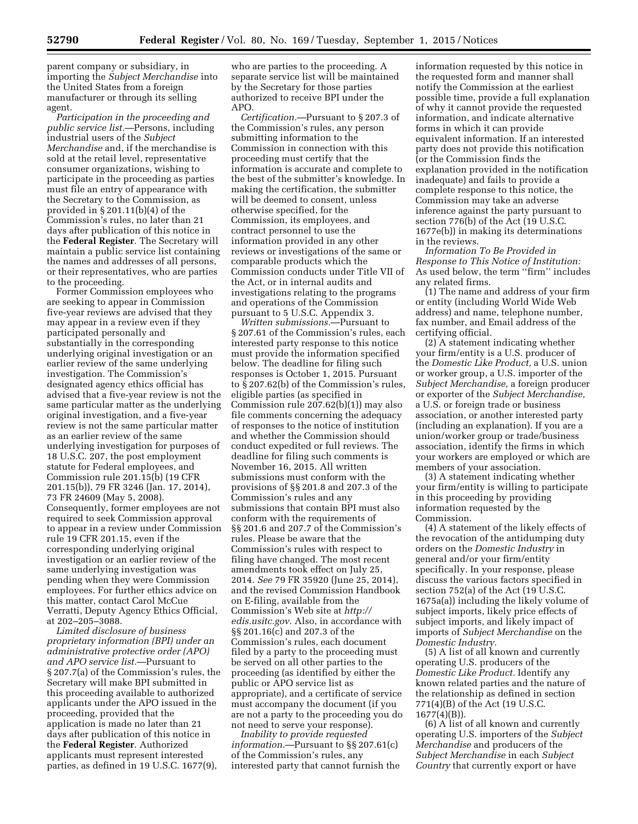parent company or subsidiary, in importing the *Subject Merchandise* into the United States from a foreign manufacturer or through its selling agent.

*Participation in the proceeding and public service list.*—Persons, including industrial users of the *Subject Merchandise* and, if the merchandise is sold at the retail level, representative consumer organizations, wishing to participate in the proceeding as parties must file an entry of appearance with the Secretary to the Commission, as provided in § 201.11(b)(4) of the Commission's rules, no later than 21 days after publication of this notice in the **Federal Register**. The Secretary will maintain a public service list containing the names and addresses of all persons, or their representatives, who are parties to the proceeding.

Former Commission employees who are seeking to appear in Commission five-year reviews are advised that they may appear in a review even if they participated personally and substantially in the corresponding underlying original investigation or an earlier review of the same underlying investigation. The Commission's designated agency ethics official has advised that a five-year review is not the same particular matter as the underlying original investigation, and a five-year review is not the same particular matter as an earlier review of the same underlying investigation for purposes of 18 U.S.C. 207, the post employment statute for Federal employees, and Commission rule 201.15(b) (19 CFR 201.15(b)), 79 FR 3246 (Jan. 17, 2014), 73 FR 24609 (May 5, 2008). Consequently, former employees are not required to seek Commission approval to appear in a review under Commission rule 19 CFR 201.15, even if the corresponding underlying original investigation or an earlier review of the same underlying investigation was pending when they were Commission employees. For further ethics advice on this matter, contact Carol McCue Verratti, Deputy Agency Ethics Official, at 202–205–3088.

*Limited disclosure of business proprietary information (BPI) under an administrative protective order (APO) and APO service list.*—Pursuant to § 207.7(a) of the Commission's rules, the Secretary will make BPI submitted in this proceeding available to authorized applicants under the APO issued in the proceeding, provided that the application is made no later than 21 days after publication of this notice in the **Federal Register**. Authorized applicants must represent interested parties, as defined in 19 U.S.C. 1677(9),

who are parties to the proceeding. A separate service list will be maintained by the Secretary for those parties authorized to receive BPI under the APO.

*Certification.*—Pursuant to § 207.3 of the Commission's rules, any person submitting information to the Commission in connection with this proceeding must certify that the information is accurate and complete to the best of the submitter's knowledge. In making the certification, the submitter will be deemed to consent, unless otherwise specified, for the Commission, its employees, and contract personnel to use the information provided in any other reviews or investigations of the same or comparable products which the Commission conducts under Title VII of the Act, or in internal audits and investigations relating to the programs and operations of the Commission pursuant to 5 U.S.C. Appendix 3.

*Written submissions.*—Pursuant to § 207.61 of the Commission's rules, each interested party response to this notice must provide the information specified below. The deadline for filing such responses is October 1, 2015. Pursuant to § 207.62(b) of the Commission's rules, eligible parties (as specified in Commission rule 207.62(b)(1)) may also file comments concerning the adequacy of responses to the notice of institution and whether the Commission should conduct expedited or full reviews. The deadline for filing such comments is November 16, 2015. All written submissions must conform with the provisions of §§ 201.8 and 207.3 of the Commission's rules and any submissions that contain BPI must also conform with the requirements of §§ 201.6 and 207.7 of the Commission's rules. Please be aware that the Commission's rules with respect to filing have changed. The most recent amendments took effect on July 25, 2014. *See* 79 FR 35920 (June 25, 2014), and the revised Commission Handbook on E-filing, available from the Commission's Web site at *[http://](http://edis.usitc.gov) [edis.usitc.gov.](http://edis.usitc.gov)* Also, in accordance with §§ 201.16(c) and 207.3 of the Commission's rules, each document filed by a party to the proceeding must be served on all other parties to the proceeding (as identified by either the public or APO service list as appropriate), and a certificate of service must accompany the document (if you are not a party to the proceeding you do not need to serve your response).

*Inability to provide requested information.*—Pursuant to §§ 207.61(c) of the Commission's rules, any interested party that cannot furnish the

information requested by this notice in the requested form and manner shall notify the Commission at the earliest possible time, provide a full explanation of why it cannot provide the requested information, and indicate alternative forms in which it can provide equivalent information. If an interested party does not provide this notification (or the Commission finds the explanation provided in the notification inadequate) and fails to provide a complete response to this notice, the Commission may take an adverse inference against the party pursuant to section 776(b) of the Act (19 U.S.C. 1677e(b)) in making its determinations in the reviews.

*Information To Be Provided in Response to This Notice of Institution:*  As used below, the term ''firm'' includes any related firms.

(1) The name and address of your firm or entity (including World Wide Web address) and name, telephone number, fax number, and Email address of the certifying official.

(2) A statement indicating whether your firm/entity is a U.S. producer of the *Domestic Like Product,* a U.S. union or worker group, a U.S. importer of the *Subject Merchandise,* a foreign producer or exporter of the *Subject Merchandise,*  a U.S. or foreign trade or business association, or another interested party (including an explanation). If you are a union/worker group or trade/business association, identify the firms in which your workers are employed or which are members of your association.

(3) A statement indicating whether your firm/entity is willing to participate in this proceeding by providing information requested by the Commission.

(4) A statement of the likely effects of the revocation of the antidumping duty orders on the *Domestic Industry* in general and/or your firm/entity specifically. In your response, please discuss the various factors specified in section 752(a) of the Act (19 U.S.C. 1675a(a)) including the likely volume of subject imports, likely price effects of subject imports, and likely impact of imports of *Subject Merchandise* on the *Domestic Industry.* 

(5) A list of all known and currently operating U.S. producers of the *Domestic Like Product.* Identify any known related parties and the nature of the relationship as defined in section 771(4)(B) of the Act (19 U.S.C. 1677(4)(B)).

(6) A list of all known and currently operating U.S. importers of the *Subject Merchandise* and producers of the *Subject Merchandise* in each *Subject Country* that currently export or have